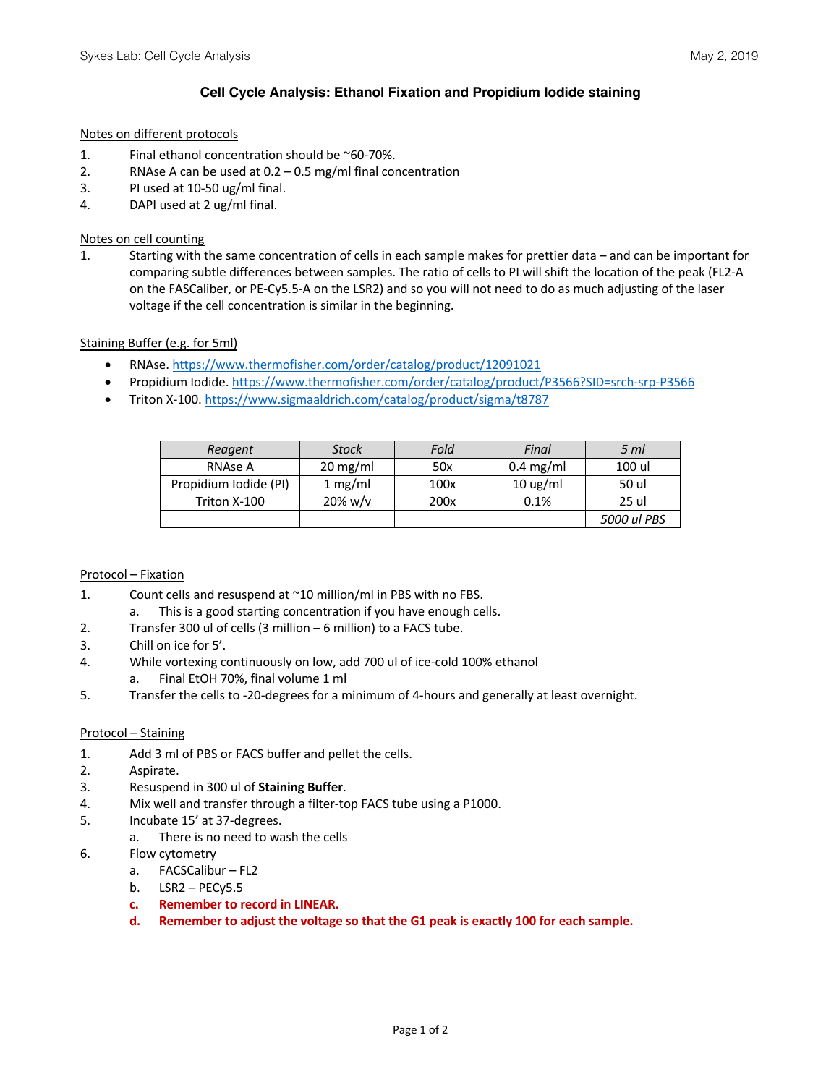# **Cell Cycle Analysis: Ethanol Fixation and Propidium Iodide staining**

# Notes on different protocols

- 1. Final ethanol concentration should be ~60-70%.
- 2. RNAse A can be used at 0.2 0.5 mg/ml final concentration
- 3. PI used at 10-50 ug/ml final.
- 4. DAPI used at 2 ug/ml final.

# Notes on cell counting

1. Starting with the same concentration of cells in each sample makes for prettier data – and can be important for comparing subtle differences between samples. The ratio of cells to PI will shift the location of the peak (FL2-A on the FASCaliber, or PE-Cy5.5-A on the LSR2) and so you will not need to do as much adjusting of the laser voltage if the cell concentration is similar in the beginning.

## Staining Buffer (e.g. for 5ml)

- RNAse. https://www.thermofisher.com/order/catalog/product/12091021
- Propidium Iodide. https://www.thermofisher.com/order/catalog/product/P3566?SID=srch-srp-P3566
- Triton X-100. https://www.sigmaaldrich.com/catalog/product/sigma/t8787

| Reagent               | <b>Stock</b>       | Fold | Final               | 5 ml        |
|-----------------------|--------------------|------|---------------------|-------------|
| RNAse A               | $20 \text{ mg/ml}$ | 50x  | $0.4 \text{ mg/ml}$ | 100 ul      |
| Propidium Iodide (PI) | 1 mg/ml            | 100x | $10 \text{ ug/ml}$  | 50 ul       |
| Triton X-100          | $20\%$ w/v         | 200x | 0.1%                | 25 ul       |
|                       |                    |      |                     | 5000 ul PBS |

## Protocol – Fixation

- 1. Count cells and resuspend at ~10 million/ml in PBS with no FBS.
	- a. This is a good starting concentration if you have enough cells.
- 2. Transfer 300 ul of cells (3 million 6 million) to a FACS tube.
- 3. Chill on ice for 5'.
- 4. While vortexing continuously on low, add 700 ul of ice-cold 100% ethanol a. Final EtOH 70%, final volume 1 ml
- 5. Transfer the cells to -20-degrees for a minimum of 4-hours and generally at least overnight.

## Protocol – Staining

- 1. Add 3 ml of PBS or FACS buffer and pellet the cells.
- 2. Aspirate.
- 3. Resuspend in 300 ul of **Staining Buffer**.
- 4. Mix well and transfer through a filter-top FACS tube using a P1000.
- 5. Incubate 15' at 37-degrees.
	- a. There is no need to wash the cells
- 6. Flow cytometry
	- a. FACSCalibur FL2
	- b. LSR2 PECy5.5
	- **c. Remember to record in LINEAR.**
	- **d. Remember to adjust the voltage so that the G1 peak is exactly 100 for each sample.**